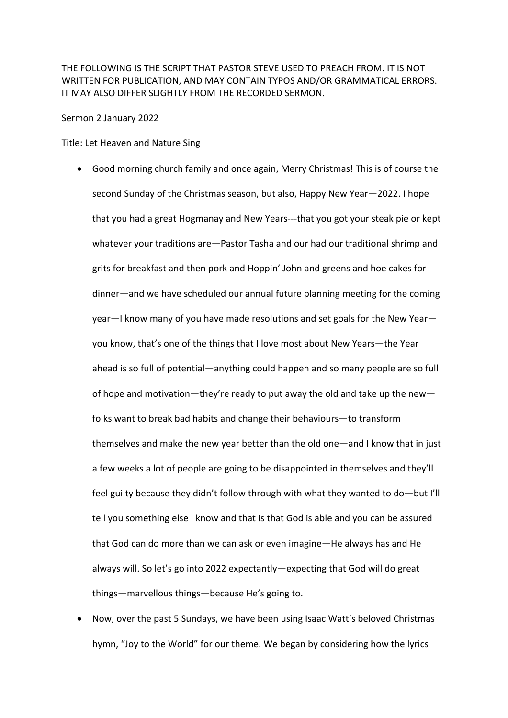THE FOLLOWING IS THE SCRIPT THAT PASTOR STEVE USED TO PREACH FROM. IT IS NOT WRITTEN FOR PUBLICATION, AND MAY CONTAIN TYPOS AND/OR GRAMMATICAL ERRORS. IT MAY ALSO DIFFER SLIGHTLY FROM THE RECORDED SERMON.

Sermon 2 January 2022

Title: Let Heaven and Nature Sing

- Good morning church family and once again, Merry Christmas! This is of course the second Sunday of the Christmas season, but also, Happy New Year—2022. I hope that you had a great Hogmanay and New Years---that you got your steak pie or kept whatever your traditions are—Pastor Tasha and our had our traditional shrimp and grits for breakfast and then pork and Hoppin' John and greens and hoe cakes for dinner—and we have scheduled our annual future planning meeting for the coming year—I know many of you have made resolutions and set goals for the New Year you know, that's one of the things that I love most about New Years—the Year ahead is so full of potential—anything could happen and so many people are so full of hope and motivation—they're ready to put away the old and take up the new folks want to break bad habits and change their behaviours—to transform themselves and make the new year better than the old one—and I know that in just a few weeks a lot of people are going to be disappointed in themselves and they'll feel guilty because they didn't follow through with what they wanted to do—but I'll tell you something else I know and that is that God is able and you can be assured that God can do more than we can ask or even imagine—He always has and He always will. So let's go into 2022 expectantly—expecting that God will do great things—marvellous things—because He's going to.
- Now, over the past 5 Sundays, we have been using Isaac Watt's beloved Christmas hymn, "Joy to the World" for our theme. We began by considering how the lyrics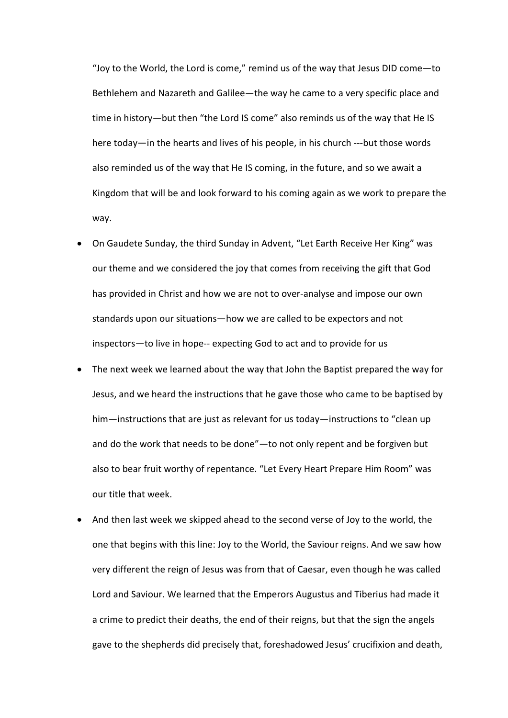"Joy to the World, the Lord is come," remind us of the way that Jesus DID come—to Bethlehem and Nazareth and Galilee—the way he came to a very specific place and time in history—but then "the Lord IS come" also reminds us of the way that He IS here today—in the hearts and lives of his people, in his church ---but those words also reminded us of the way that He IS coming, in the future, and so we await a Kingdom that will be and look forward to his coming again as we work to prepare the way.

- On Gaudete Sunday, the third Sunday in Advent, "Let Earth Receive Her King" was our theme and we considered the joy that comes from receiving the gift that God has provided in Christ and how we are not to over-analyse and impose our own standards upon our situations—how we are called to be expectors and not inspectors—to live in hope-- expecting God to act and to provide for us
- The next week we learned about the way that John the Baptist prepared the way for Jesus, and we heard the instructions that he gave those who came to be baptised by him—instructions that are just as relevant for us today—instructions to "clean up and do the work that needs to be done"—to not only repent and be forgiven but also to bear fruit worthy of repentance. "Let Every Heart Prepare Him Room" was our title that week.
- And then last week we skipped ahead to the second verse of Joy to the world, the one that begins with this line: Joy to the World, the Saviour reigns. And we saw how very different the reign of Jesus was from that of Caesar, even though he was called Lord and Saviour. We learned that the Emperors Augustus and Tiberius had made it a crime to predict their deaths, the end of their reigns, but that the sign the angels gave to the shepherds did precisely that, foreshadowed Jesus' crucifixion and death,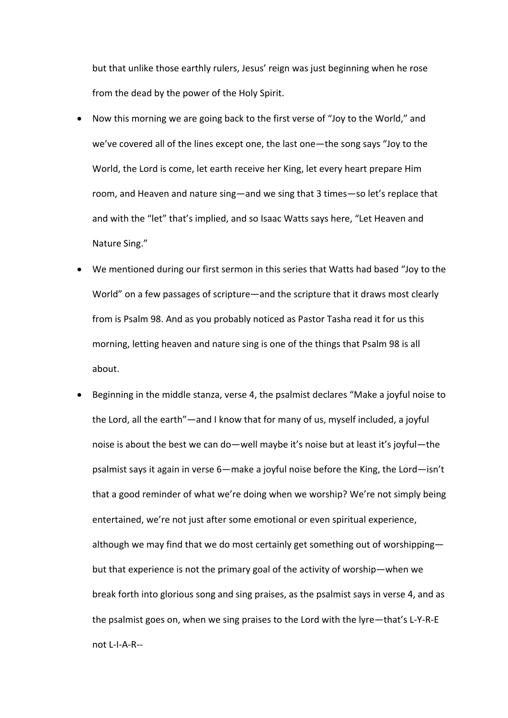but that unlike those earthly rulers, Jesus' reign was just beginning when he rose from the dead by the power of the Holy Spirit.

- Now this morning we are going back to the first verse of "Joy to the World," and we've covered all of the lines except one, the last one—the song says "Joy to the World, the Lord is come, let earth receive her King, let every heart prepare Him room, and Heaven and nature sing—and we sing that 3 times—so let's replace that and with the "let" that's implied, and so Isaac Watts says here, "Let Heaven and Nature Sing."
- We mentioned during our first sermon in this series that Watts had based "Joy to the World" on a few passages of scripture—and the scripture that it draws most clearly from is Psalm 98. And as you probably noticed as Pastor Tasha read it for us this morning, letting heaven and nature sing is one of the things that Psalm 98 is all about.
- Beginning in the middle stanza, verse 4, the psalmist declares "Make a joyful noise to the Lord, all the earth"—and I know that for many of us, myself included, a joyful noise is about the best we can do—well maybe it's noise but at least it's joyful—the psalmist says it again in verse 6—make a joyful noise before the King, the Lord—isn't that a good reminder of what we're doing when we worship? We're not simply being entertained, we're not just after some emotional or even spiritual experience, although we may find that we do most certainly get something out of worshipping but that experience is not the primary goal of the activity of worship—when we break forth into glorious song and sing praises, as the psalmist says in verse 4, and as the psalmist goes on, when we sing praises to the Lord with the lyre—that's L-Y-R-E not L-I-A-R--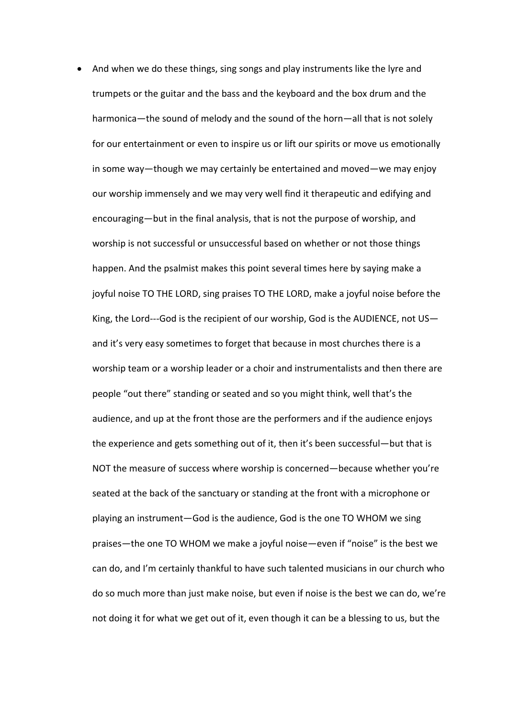• And when we do these things, sing songs and play instruments like the lyre and trumpets or the guitar and the bass and the keyboard and the box drum and the harmonica—the sound of melody and the sound of the horn—all that is not solely for our entertainment or even to inspire us or lift our spirits or move us emotionally in some way—though we may certainly be entertained and moved—we may enjoy our worship immensely and we may very well find it therapeutic and edifying and encouraging—but in the final analysis, that is not the purpose of worship, and worship is not successful or unsuccessful based on whether or not those things happen. And the psalmist makes this point several times here by saying make a joyful noise TO THE LORD, sing praises TO THE LORD, make a joyful noise before the King, the Lord---God is the recipient of our worship, God is the AUDIENCE, not US and it's very easy sometimes to forget that because in most churches there is a worship team or a worship leader or a choir and instrumentalists and then there are people "out there" standing or seated and so you might think, well that's the audience, and up at the front those are the performers and if the audience enjoys the experience and gets something out of it, then it's been successful—but that is NOT the measure of success where worship is concerned—because whether you're seated at the back of the sanctuary or standing at the front with a microphone or playing an instrument—God is the audience, God is the one TO WHOM we sing praises—the one TO WHOM we make a joyful noise—even if "noise" is the best we can do, and I'm certainly thankful to have such talented musicians in our church who do so much more than just make noise, but even if noise is the best we can do, we're not doing it for what we get out of it, even though it can be a blessing to us, but the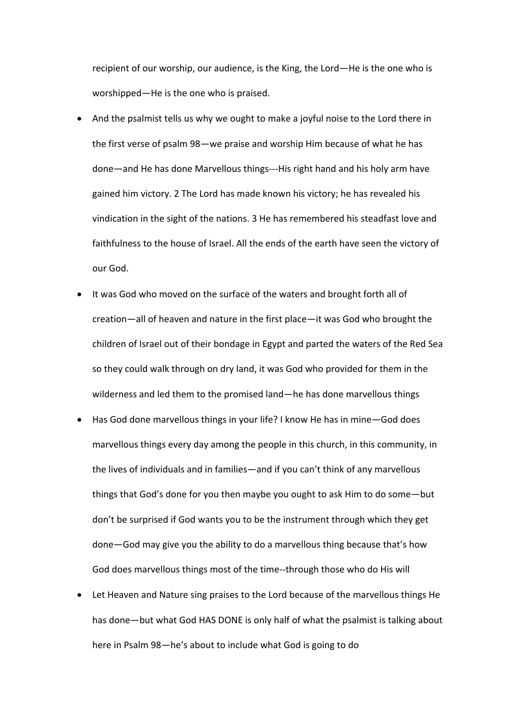recipient of our worship, our audience, is the King, the Lord—He is the one who is worshipped—He is the one who is praised.

- And the psalmist tells us why we ought to make a joyful noise to the Lord there in the first verse of psalm 98—we praise and worship Him because of what he has done—and He has done Marvellous things---His right hand and his holy arm have gained him victory. 2 The Lord has made known his victory; he has revealed his vindication in the sight of the nations. 3 He has remembered his steadfast love and faithfulness to the house of Israel. All the ends of the earth have seen the victory of our God.
- It was God who moved on the surface of the waters and brought forth all of creation—all of heaven and nature in the first place—it was God who brought the children of Israel out of their bondage in Egypt and parted the waters of the Red Sea so they could walk through on dry land, it was God who provided for them in the wilderness and led them to the promised land—he has done marvellous things
- Has God done marvellous things in your life? I know He has in mine—God does marvellous things every day among the people in this church, in this community, in the lives of individuals and in families—and if you can't think of any marvellous things that God's done for you then maybe you ought to ask Him to do some—but don't be surprised if God wants you to be the instrument through which they get done—God may give you the ability to do a marvellous thing because that's how God does marvellous things most of the time--through those who do His will
- Let Heaven and Nature sing praises to the Lord because of the marvellous things He has done—but what God HAS DONE is only half of what the psalmist is talking about here in Psalm 98—he's about to include what God is going to do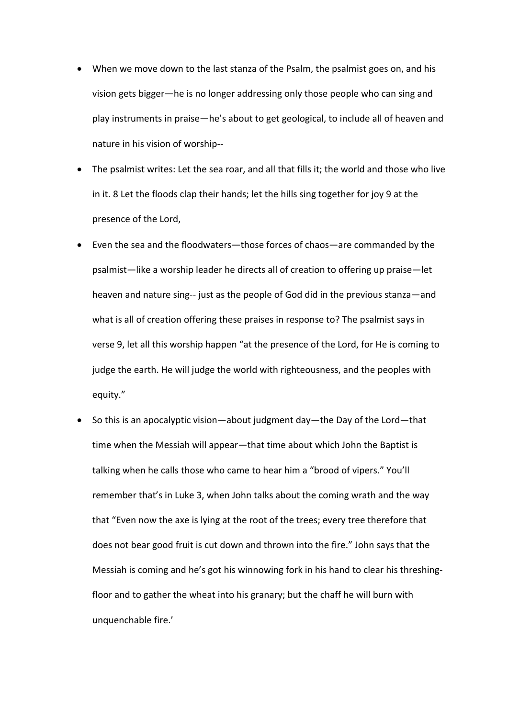- When we move down to the last stanza of the Psalm, the psalmist goes on, and his vision gets bigger—he is no longer addressing only those people who can sing and play instruments in praise—he's about to get geological, to include all of heaven and nature in his vision of worship--
- The psalmist writes: Let the sea roar, and all that fills it; the world and those who live in it. 8 Let the floods clap their hands; let the hills sing together for joy 9 at the presence of the Lord,
- Even the sea and the floodwaters—those forces of chaos—are commanded by the psalmist—like a worship leader he directs all of creation to offering up praise—let heaven and nature sing-- just as the people of God did in the previous stanza—and what is all of creation offering these praises in response to? The psalmist says in verse 9, let all this worship happen "at the presence of the Lord, for He is coming to judge the earth. He will judge the world with righteousness, and the peoples with equity."
- So this is an apocalyptic vision—about judgment day—the Day of the Lord—that time when the Messiah will appear—that time about which John the Baptist is talking when he calls those who came to hear him a "brood of vipers." You'll remember that's in Luke 3, when John talks about the coming wrath and the way that "Even now the axe is lying at the root of the trees; every tree therefore that does not bear good fruit is cut down and thrown into the fire." John says that the Messiah is coming and he's got his winnowing fork in his hand to clear his threshingfloor and to gather the wheat into his granary; but the chaff he will burn with unquenchable fire.'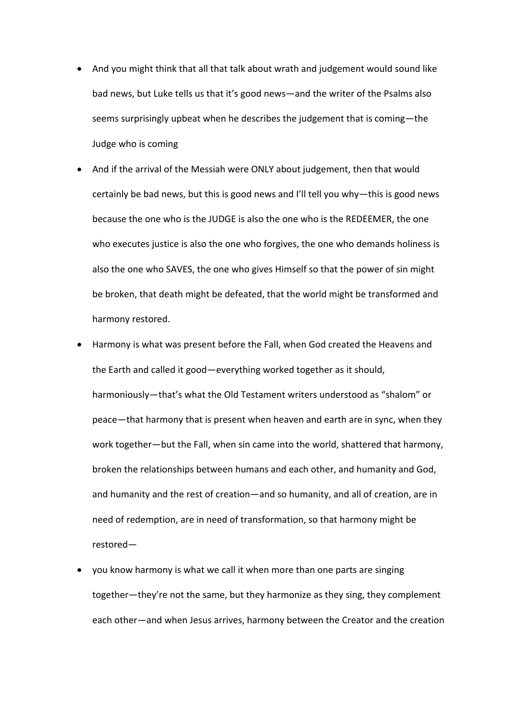- And you might think that all that talk about wrath and judgement would sound like bad news, but Luke tells us that it's good news—and the writer of the Psalms also seems surprisingly upbeat when he describes the judgement that is coming—the Judge who is coming
- And if the arrival of the Messiah were ONLY about judgement, then that would certainly be bad news, but this is good news and I'll tell you why—this is good news because the one who is the JUDGE is also the one who is the REDEEMER, the one who executes justice is also the one who forgives, the one who demands holiness is also the one who SAVES, the one who gives Himself so that the power of sin might be broken, that death might be defeated, that the world might be transformed and harmony restored.
- Harmony is what was present before the Fall, when God created the Heavens and the Earth and called it good—everything worked together as it should, harmoniously—that's what the Old Testament writers understood as "shalom" or peace—that harmony that is present when heaven and earth are in sync, when they work together—but the Fall, when sin came into the world, shattered that harmony, broken the relationships between humans and each other, and humanity and God, and humanity and the rest of creation—and so humanity, and all of creation, are in need of redemption, are in need of transformation, so that harmony might be restored—
- you know harmony is what we call it when more than one parts are singing together—they're not the same, but they harmonize as they sing, they complement each other—and when Jesus arrives, harmony between the Creator and the creation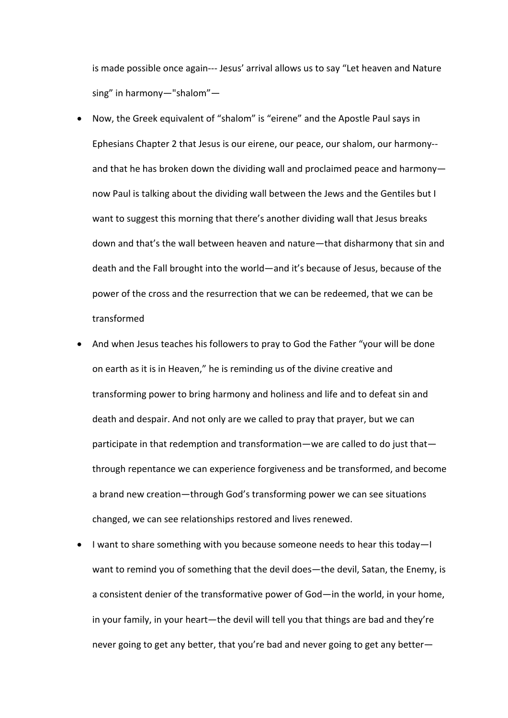is made possible once again--- Jesus' arrival allows us to say "Let heaven and Nature sing" in harmony—"shalom"—

- Now, the Greek equivalent of "shalom" is "eirene" and the Apostle Paul says in Ephesians Chapter 2 that Jesus is our eirene, our peace, our shalom, our harmony- and that he has broken down the dividing wall and proclaimed peace and harmony now Paul is talking about the dividing wall between the Jews and the Gentiles but I want to suggest this morning that there's another dividing wall that Jesus breaks down and that's the wall between heaven and nature—that disharmony that sin and death and the Fall brought into the world—and it's because of Jesus, because of the power of the cross and the resurrection that we can be redeemed, that we can be transformed
- And when Jesus teaches his followers to pray to God the Father "your will be done on earth as it is in Heaven," he is reminding us of the divine creative and transforming power to bring harmony and holiness and life and to defeat sin and death and despair. And not only are we called to pray that prayer, but we can participate in that redemption and transformation—we are called to do just that through repentance we can experience forgiveness and be transformed, and become a brand new creation—through God's transforming power we can see situations changed, we can see relationships restored and lives renewed.
- I want to share something with you because someone needs to hear this today—I want to remind you of something that the devil does—the devil, Satan, the Enemy, is a consistent denier of the transformative power of God—in the world, in your home, in your family, in your heart—the devil will tell you that things are bad and they're never going to get any better, that you're bad and never going to get any better—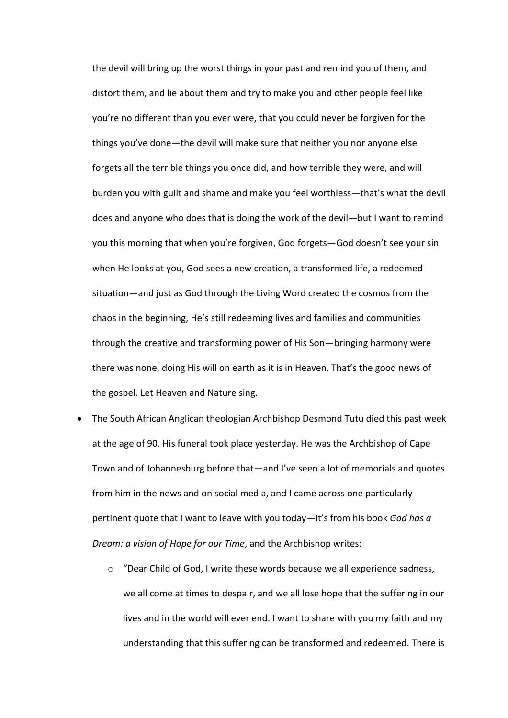the devil will bring up the worst things in your past and remind you of them, and distort them, and lie about them and try to make you and other people feel like you're no different than you ever were, that you could never be forgiven for the things you've done—the devil will make sure that neither you nor anyone else forgets all the terrible things you once did, and how terrible they were, and will burden you with guilt and shame and make you feel worthless—that's what the devil does and anyone who does that is doing the work of the devil—but I want to remind you this morning that when you're forgiven, God forgets—God doesn't see your sin when He looks at you, God sees a new creation, a transformed life, a redeemed situation—and just as God through the Living Word created the cosmos from the chaos in the beginning, He's still redeeming lives and families and communities through the creative and transforming power of His Son—bringing harmony were there was none, doing His will on earth as it is in Heaven. That's the good news of the gospel. Let Heaven and Nature sing.

- The South African Anglican theologian Archbishop Desmond Tutu died this past week at the age of 90. His funeral took place yesterday. He was the Archbishop of Cape Town and of Johannesburg before that—and I've seen a lot of memorials and quotes from him in the news and on social media, and I came across one particularly pertinent quote that I want to leave with you today—it's from his book *God has a Dream: a vision of Hope for our Time*, and the Archbishop writes:
	- $\circ$  "Dear Child of God, I write these words because we all experience sadness, we all come at times to despair, and we all lose hope that the suffering in our lives and in the world will ever end. I want to share with you my faith and my understanding that this suffering can be transformed and redeemed. There is